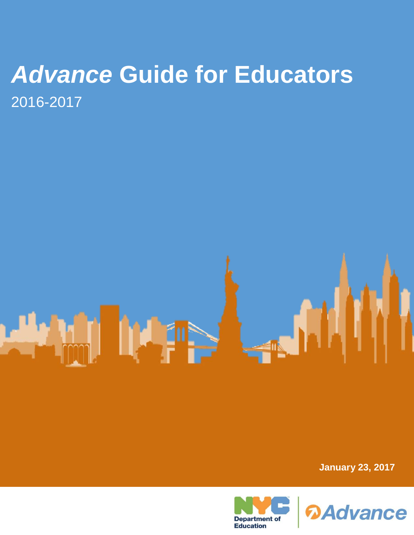# *Advance* **Guide for Educators** 2016-2017

F

**January 23, 2017**



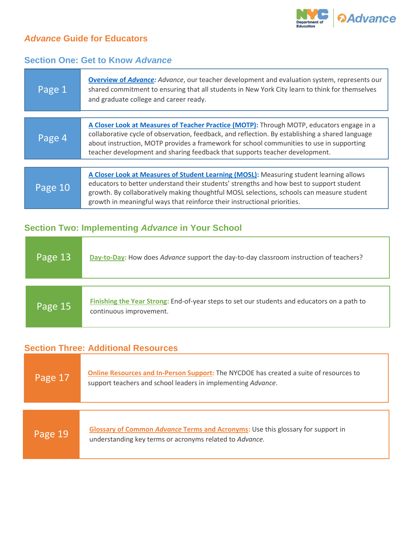

### *Advance* **Guide for Educators**

#### **Section One: Get to Know** *Advance*

| Page 1  | <b>Overview of Advance:</b> Advance, our teacher development and evaluation system, represents our<br>shared commitment to ensuring that all students in New York City learn to think for themselves<br>and graduate college and career ready.                                                                                                                          |  |  |
|---------|-------------------------------------------------------------------------------------------------------------------------------------------------------------------------------------------------------------------------------------------------------------------------------------------------------------------------------------------------------------------------|--|--|
|         |                                                                                                                                                                                                                                                                                                                                                                         |  |  |
| Page 4  | A Closer Look at Measures of Teacher Practice (MOTP): Through MOTP, educators engage in a<br>collaborative cycle of observation, feedback, and reflection. By establishing a shared language<br>about instruction, MOTP provides a framework for school communities to use in supporting<br>teacher development and sharing feedback that supports teacher development. |  |  |
|         |                                                                                                                                                                                                                                                                                                                                                                         |  |  |
| Page 10 | A Closer Look at Measures of Student Learning (MOSL): Measuring student learning allows<br>educators to better understand their students' strengths and how best to support student<br>growth. By collaboratively making thoughtful MOSL selections, schools can measure student<br>growth in meaningful ways that reinforce their instructional priorities.            |  |  |

## **Section Two: Implementing** *Advance* **in Your School**

| Page 13 | Day-to-Day: How does Advance support the day-to-day classroom instruction of teachers?                                 |
|---------|------------------------------------------------------------------------------------------------------------------------|
|         |                                                                                                                        |
| Page 15 | Finishing the Year Strong: End-of-year steps to set our students and educators on a path to<br>continuous improvement. |

### **Section Three: Additional Resources**

| Page 17 | Online Resources and In-Person Support: The NYCDOE has created a suite of resources to<br>support teachers and school leaders in implementing Advance. |
|---------|--------------------------------------------------------------------------------------------------------------------------------------------------------|
|         |                                                                                                                                                        |
| Page 19 | Glossary of Common Advance Terms and Acronyms: Use this glossary for support in<br>understanding key terms or acronyms related to Advance.             |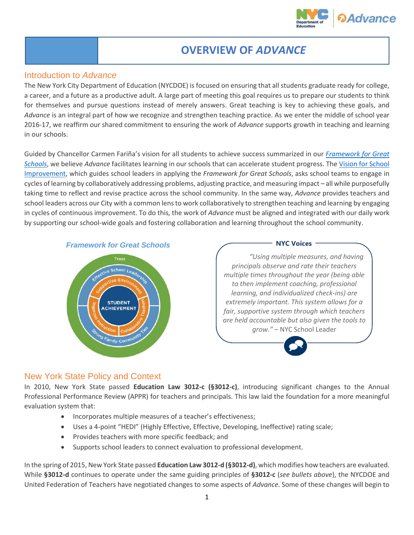

# <span id="page-2-0"></span>**OVERVIEW OF** *ADVANCE*

#### Introduction to *Advance*

The New York City Department of Education (NYCDOE) is focused on ensuring that all students graduate ready for college, a career, and a future as a productive adult. A large part of meeting this goal requires us to prepare our students to think for themselves and pursue questions instead of merely answers. Great teaching is key to achieving these goals, and *Advance* is an integral part of how we recognize and strengthen teaching practice. As we enter the middle of school year 2016-17, we reaffirm our shared commitment to ensuring the work of *Advance* supports growth in teaching and learning in our schools.

Guided by Chancellor Carmen Fariña's vision for all students to achieve success summarized in our *[Framework for Great](http://schools.nyc.gov/AboutUs/schools/framework/default.htm)  [Schools](http://schools.nyc.gov/AboutUs/schools/framework/default.htm)*, we believe *Advance* facilitates learning in our schools that can accelerate student progress. Th[e Vision for School](http://schools.nyc.gov/NR/rdonlyres/EC5F192E-44AB-429B-8DB1-E3527BD2E3A1/0/AVisionforSchoolImprovement_ApplyingtheFrameworkforGreatSchools.pdf)  [Improvement,](http://schools.nyc.gov/NR/rdonlyres/EC5F192E-44AB-429B-8DB1-E3527BD2E3A1/0/AVisionforSchoolImprovement_ApplyingtheFrameworkforGreatSchools.pdf) which guides school leaders in applying the *Framework for Great Schools*, asks school teams to engage in cycles of learning by collaboratively addressing problems, adjusting practice, and measuring impact – all while purposefully taking time to reflect and revise practice across the school community. In the same way, *Advance* provides teachers and school leaders across our City with a common lens to work collaboratively to strengthen teaching and learning by engaging in cycles of continuous improvement. To do this, the work of *Advance* must be aligned and integrated with our daily work by supporting our school-wide goals and fostering collaboration and learning throughout the school community.





#### New York State Policy and Context

In 2010, New York State passed **Education Law 3012-c (§3012-c)**, introducing significant changes to the Annual Professional Performance Review (APPR) for teachers and principals. This law laid the foundation for a more meaningful evaluation system that:

- Incorporates multiple measures of a teacher's effectiveness;
- Uses a 4-point "HEDI" (Highly Effective, Effective, Developing, Ineffective) rating scale;
- Provides teachers with more specific feedback; and
- Supports school leaders to connect evaluation to professional development.

In the spring of 2015, New York State passed **Education Law 3012-d (§3012-d)**, which modifies how teachers are evaluated. While **§3012-d** continues to operate under the same guiding principles of **§3012-c** (*see bullets above*), the NYCDOE and United Federation of Teachers have negotiated changes to some aspects of *Advance*. Some of these changes will begin to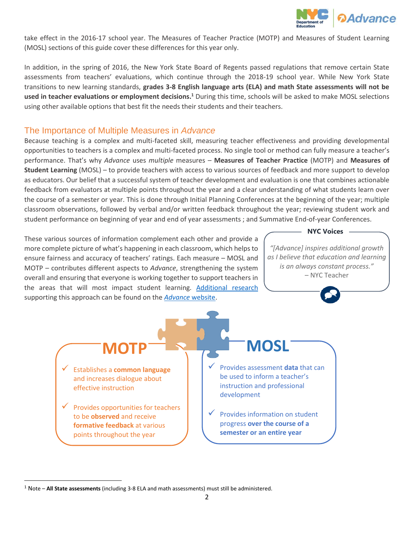

take effect in the 2016-17 school year. The Measures of Teacher Practice (MOTP) and Measures of Student Learning (MOSL) sections of this guide cover these differences for this year only.

In addition, in the spring of 2016, the New York State Board of Regents passed regulations that remove certain State assessments from teachers' evaluations, which continue through the 2018-19 school year. While New York State transitions to new learning standards, **grades 3-8 English language arts (ELA) and math State assessments will not be**  used in teacher evaluations or employment decisions.<sup>1</sup> During this time, schools will be asked to make MOSL selections using other available options that best fit the needs their students and their teachers.

#### The Importance of Multiple Measures in *Advance*

Because teaching is a complex and multi-faceted skill, measuring teacher effectiveness and providing developmental opportunities to teachers is a complex and multi-faceted process. No single tool or method can fully measure a teacher's performance. That's why *Advance* uses *multiple* measures – **Measures of Teacher Practice** (MOTP) and **Measures of Student Learning** (MOSL) – to provide teachers with access to various sources of feedback and more support to develop as educators. Our belief that a successful system of teacher development and evaluation is one that combines actionable feedback from evaluators at multiple points throughout the year and a clear understanding of what students learn over the course of a semester or year. This is done through Initial Planning Conferences at the beginning of the year; multiple classroom observations, followed by verbal and/or written feedback throughout the year; reviewing student work and student performance on beginning of year and end of year assessments ; and Summative End-of-year Conferences.

These various sources of information complement each other and provide a more complete picture of what's happening in each classroom, which helps to ensure fairness and accuracy of teachers' ratings. Each measure – MOSL and MOTP – contributes different aspects to *Advance*, strengthening the system overall and ensuring that everyone is working together to support teachers in the areas that will most impact student learning. [Additional research](http://schools.nyc.gov/Offices/advance/Background/Research+on+TE/default.htm) supporting this approach can be found on the *[Advance](http://schools.nyc.gov/Offices/advance/default.htm)* website.

#### **NYC Voices**

*"[Advance] inspires additional growth as I believe that education and learning is an always constant process."* – NYC Teacher

- Establishes a **common language** and increases dialogue about effective instruction
- Provides opportunities for teachers to be **observed** and receive **formative feedback** at various points throughout the year

l

# **MOTP MOSL**

- Provides assessment **data** that can be used to inform a teacher's instruction and professional development
- Provides information on student progress **over the course of a semester or an entire year**

<sup>1</sup> Note – **All State assessments** (including 3-8 ELA and math assessments) must still be administered.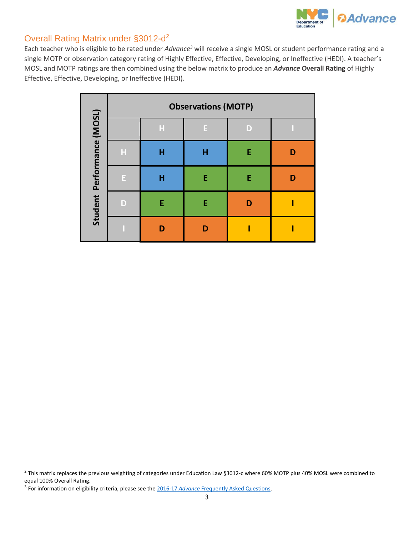

#### Overall Rating Matrix under §3012-d<sup>2</sup>

Each teacher who is eligible to be rated under *Advance<sup>3</sup>* will receive a single MOSL or student performance rating and a single MOTP or observation category rating of Highly Effective, Effective, Developing, or Ineffective (HEDI). A teacher's MOSL and MOTP ratings are then combined using the below matrix to produce an *Advance* **Overall Rating** of Highly Effective, Effective, Developing, or Ineffective (HEDI).

|                                                                                                                                                                                                                                                     |                            |                           |   | <b>Observations (MOTP)</b> |   |   |
|-----------------------------------------------------------------------------------------------------------------------------------------------------------------------------------------------------------------------------------------------------|----------------------------|---------------------------|---|----------------------------|---|---|
|                                                                                                                                                                                                                                                     |                            |                           | H | E                          | D | D |
|                                                                                                                                                                                                                                                     |                            | $\boldsymbol{\mathsf{H}}$ | H | H                          | E | D |
|                                                                                                                                                                                                                                                     | Student Performance (MOSL) | E                         | H | E                          | E | D |
|                                                                                                                                                                                                                                                     |                            | D                         | E | E                          | D | Ī |
|                                                                                                                                                                                                                                                     |                            | $\overline{\mathbf{I}}$   | D | D                          | Ī | I |
|                                                                                                                                                                                                                                                     |                            |                           |   |                            |   |   |
|                                                                                                                                                                                                                                                     |                            |                           |   |                            |   |   |
|                                                                                                                                                                                                                                                     |                            |                           |   |                            |   |   |
|                                                                                                                                                                                                                                                     |                            |                           |   |                            |   |   |
|                                                                                                                                                                                                                                                     |                            |                           |   |                            |   |   |
|                                                                                                                                                                                                                                                     |                            |                           |   |                            |   |   |
|                                                                                                                                                                                                                                                     |                            |                           |   |                            |   |   |
|                                                                                                                                                                                                                                                     |                            |                           |   |                            |   |   |
|                                                                                                                                                                                                                                                     |                            |                           |   |                            |   |   |
| This matrix replaces the previous weighting of categories under Education Law §3012-c where 60% MOTP plus 40% M<br>qual 100% Overall Rating.<br>For information on eligibility criteria, please see the 2016-17 Advance Frequently Asked Questions. |                            |                           |   |                            |   |   |

<sup>&</sup>lt;sup>2</sup> This matrix replaces the previous weighting of categories under Education Law §3012-c where 60% MOTP plus 40% MOSL were combined to equal 100% Overall Rating.

 $\overline{a}$ 

<sup>&</sup>lt;sup>3</sup> For information on eligibility criteria, please see the 2016-17 Advance Frequently Asked Questions.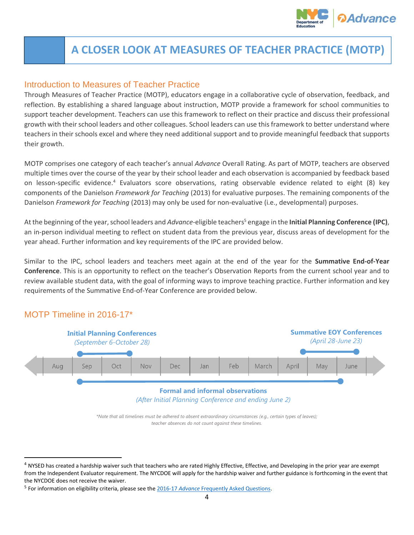

# <span id="page-5-0"></span>**A CLOSER LOOK AT MEASURES OF TEACHER PRACTICE (MOTP)**

#### Introduction to Measures of Teacher Practice

Through Measures of Teacher Practice (MOTP), educators engage in a collaborative cycle of observation, feedback, and reflection. By establishing a shared language about instruction, MOTP provide a framework for school communities to support teacher development. Teachers can use this framework to reflect on their practice and discuss their professional growth with their school leaders and other colleagues. School leaders can use this framework to better understand where teachers in their schools excel and where they need additional support and to provide meaningful feedback that supports their growth.

MOTP comprises one category of each teacher's annual *Advance* Overall Rating. As part of MOTP, teachers are observed multiple times over the course of the year by their school leader and each observation is accompanied by feedback based on lesson-specific evidence.<sup>4</sup> Evaluators score observations, rating observable evidence related to eight (8) key components of the Danielson *Framework for Teaching* (2013) for evaluative purposes. The remaining components of the Danielson *Framework for Teaching* (2013) may only be used for non-evaluative (i.e., developmental) purposes.

At the beginning of the year, school leaders and *Advance*-eligible teachers<sup>5</sup> engage in the **Initial Planning Conference (IPC)**, an in-person individual meeting to reflect on student data from the previous year, discuss areas of development for the year ahead. Further information and key requirements of the IPC are provided below.

Similar to the IPC, school leaders and teachers meet again at the end of the year for the **Summative End-of-Year Conference**. This is an opportunity to reflect on the teacher's Observation Reports from the current school year and to review available student data, with the goal of informing ways to improve teaching practice. Further information and key requirements of the Summative End-of-Year Conference are provided below.

#### MOTP Timeline in 2016-17\*

 $\overline{a}$ 



*\*Note that all timelines must be adhered to absent extraordinary circumstances (e.g., certain types of leaves); teacher absences do not count against these timelines.*

 $4$  NYSED has created a hardship waiver such that teachers who are rated Highly Effective, Effective, and Developing in the prior year are exempt from the Independent Evaluator requirement. The NYCDOE will apply for the hardship waiver and further guidance is forthcoming in the event that the NYCDOE does not receive the waiver.

<sup>5</sup> For information on eligibility criteria, please see the 2016-17 *Advance* [Frequently Asked Questions.](http://intranet.nycboe.net/NR/rdonlyres/04107CC7-D332-4B2B-A58B-F2B85DE93984/0/201617AdvanceFAQs.pdf)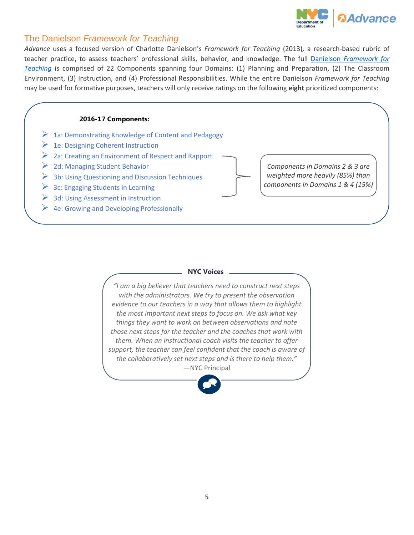

#### The Danielson *Framework for Teaching*

*Advance* uses a focused version of Charlotte Danielson's *[Framework for Teaching](http://schools.nyc.gov/NR/rdonlyres/8A4A25F0-BCEE-4484-9311-B5BB7A51D7F1/0/TeacherEffectivenessProgram1314Rubric201308142.pdf)* (2013)*,* a research-based rubric of teacher practice, to assess teachers' professional skills, behavior, and knowledge. The full Danielson *[Framework for](http://intranet.nycboe.net/NR/rdonlyres/C4FE74D5-0CEE-4781-B975-44D741BAA195/0/Danielson2013FrameworkforTeaching.pdf)  [Teaching](http://intranet.nycboe.net/NR/rdonlyres/C4FE74D5-0CEE-4781-B975-44D741BAA195/0/Danielson2013FrameworkforTeaching.pdf)* is comprised of 22 Components spanning four Domains: (1) Planning and Preparation, (2) The Classroom Environment, (3) Instruction, and (4) Professional Responsibilities. While the entire Danielson *Framework for Teaching*  may be used for formative purposes, teachers will only receive ratings on the following **eight** prioritized components:

#### **2016-17 Components:**  *Components in Domains 2 & 3 are weighted more heavily (85%) than components in Domains 1 & 4 (15%)*  $\triangleright$  1a: Demonstrating Knowledge of Content and Pedagogy  $\geq 1$ e: Designing Coherent Instruction ▶ 2a: Creating an Environment of Respect and Rapport  $\geq 2d$ : Managing Student Behavior  $\triangleright$  3b: Using Questioning and Discussion Techniques  $\geq$  3c: Engaging Students in Learning  $\geq$  3d: Using Assessment in Instruction  $\triangleright$  4e: Growing and Developing Professionally

#### **NYC Voices**

*"I am a big believer that teachers need to construct next steps with the administrators. We try to present the observation evidence to our teachers in a way that allows them to highlight the most important next steps to focus on. We ask what key things they want to work on between observations and note those next steps for the teacher and the coaches that work with them. When an instructional coach visits the teacher to offer support, the teacher can feel confident that the coach is aware of the collaboratively set next steps and is there to help them."* —NYC Principal

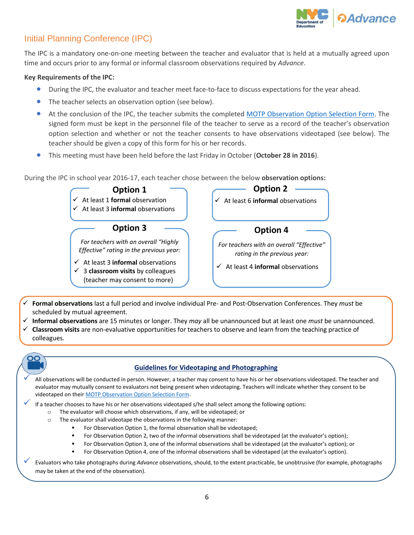

### Initial Planning Conference (IPC)

The IPC is a mandatory one-on-one meeting between the teacher and evaluator that is held at a mutually agreed upon time and occurs prior to any formal or informal classroom observations required by *Advance*.

#### **Key Requirements of the IPC:**

- During the IPC, the evaluator and teacher meet face-to-face to discuss expectations for the year ahead.
- The teacher selects an observation option (see below).
- At the conclusion of the IPC, the teacher submits the completed [MOTP Observation Option Selection Form.](http://intranet.nycboe.net/NR/rdonlyres/96E263C7-3BF5-462A-8523-7E0B02DA6368/0/201617MOTPObservationOptionSelectionForm.pdf) The signed form must be kept in the personnel file of the teacher to serve as a record of the teacher's observation option selection and whether or not the teacher consents to have observations videotaped (see below). The teacher should be given a copy of this form for his or her records.
- This meeting must have been held before the last Friday in October (**October 28 in 2016**).

During the IPC in school year 2016-17, each teacher chose between the below **observation options:**



- **Formal observations** last a full period and involve individual Pre- and Post-Observation Conferences. They *must* be scheduled by mutual agreement.
- **Informal observations** are 15 minutes or longer. They *may* all be unannounced but at least one *must* be unannounced.
- **Classroom visits** are non-evaluative opportunities for teachers to observe and learn from the teaching practice of colleagues.



#### **Guidelines for Videotaping and Photographing**

 All observations will be conducted in person. However, a teacher may consent to have his or her observations videotaped. The teacher and evaluator may mutually consent to evaluators not being present when videotaping. Teachers will indicate whether they consent to be videotaped on thei[r MOTP Observation Option Selection Form.](http://intranet.nycboe.net/NR/rdonlyres/96E263C7-3BF5-462A-8523-7E0B02DA6368/0/201617MOTPObservationOptionSelectionForm.pdf)

If a teacher chooses to have his or her observations videotaped s/he shall select among the following options:

- o The evaluator will choose which observations, if any, will be videotaped; or
- o The evaluator shall videotape the observations in the following manner:
	- For Observation Option 1, the formal observation shall be videotaped;
	- For Observation Option 2, two of the informal observations shall be videotaped (at the evaluator's option);
	- For Observation Option 3, one of the informal observations shall be videotaped (at the evaluator's option); or
	- For Observation Option 4, one of the informal observations shall be videotaped (at the evaluator's option).

 Evaluators who take photographs during *Advance* observations, should, to the extent practicable, be unobtrusive (for example, photographs may be taken at the end of the observation).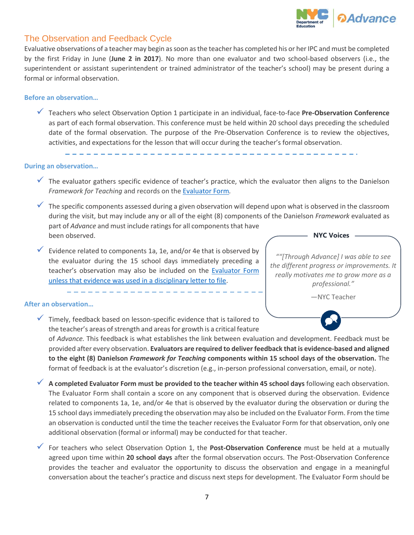

#### The Observation and Feedback Cycle

Evaluative observations of a teacher may begin as soon as the teacher has completed his or her IPC and must be completed by the first Friday in June (**June 2 in 2017**). No more than one evaluator and two school-based observers (i.e., the superintendent or assistant superintendent or trained administrator of the teacher's school) may be present during a formal or informal observation.

#### **Before an observation…**

 Teachers who select Observation Option 1 participate in an individual, face-to-face **Pre-Observation Conference** as part of each formal observation. This conference must be held within 20 school days preceding the scheduled date of the formal observation. The purpose of the Pre-Observation Conference is to review the objectives, activities, and expectations for the lesson that will occur during the teacher's formal observation.

**During an observation…**

- The evaluator gathers specific evidence of teacher's practice, which the evaluator then aligns to the Danielson *[Framework](http://schools.nyc.gov/NR/rdonlyres/8A4A25F0-BCEE-4484-9311-B5BB7A51D7F1/0/TeacherEffectivenessProgram1314Rubric201308142.pdf) for Teaching* and records on the [Evaluator](http://intranet.nycboe.net/NR/rdonlyres/23888862-B4A6-4D31-ADC5-3454A665484B/0/201617EvaluatorForm.pdf) Form*.*
- $\checkmark$  The specific components assessed during a given observation will depend upon what is observed in the classroom during the visit, but may include any or all of the eight (8) components of the Danielson *Framework* evaluated as part of *Advance* and must include ratings for all components that have been observed. **NYC Voices**
- $\checkmark$  Evidence related to components 1a, 1e, and/or 4e that is observed by the evaluator during the 15 school days immediately preceding a teacher's observation may also be included on the [Evaluator](http://intranet.nycboe.net/NR/rdonlyres/23888862-B4A6-4D31-ADC5-3454A665484B/0/201617EvaluatorForm.pdf) Form unless that evidence was used in a disciplinary letter to file.

*""[Through Advance] I was able to see the different progress or improvements. It really motivates me to grow more as a professional."*

—NYC Teacher

#### **After an observation…**

 Timely, feedback based on lesson-specific evidence that is tailored to the teacher's areas of strength and areas for growth is a critical feature

of *Advance.* This feedback is what establishes the link between evaluation and development. Feedback must be provided after every observation. **Evaluators are required to deliver feedback that is evidence-based and aligned to the eight (8) Danielson** *Framework for Teaching* **components within 15 school days of the observation.** The format of feedback is at the evaluator's discretion (e.g., in-person professional conversation, email, or note).

- **A completed Evaluator Form must be provided to the teacher within 45 school days** following each observation. The Evaluator Form shall contain a score on any component that is observed during the observation. Evidence related to components 1a, 1e, and/or 4e that is observed by the evaluator during the observation or during the 15 school days immediately preceding the observation may also be included on the Evaluator Form. From the time an observation is conducted until the time the teacher receives the Evaluator Form for that observation, only one additional observation (formal or informal) may be conducted for that teacher.
- For teachers who select Observation Option 1, the **Post-Observation Conference** must be held at a mutually agreed upon time within **20 school days** after the formal observation occurs. The Post-Observation Conference provides the teacher and evaluator the opportunity to discuss the observation and engage in a meaningful conversation about the teacher's practice and discuss next steps for development. The Evaluator Form should be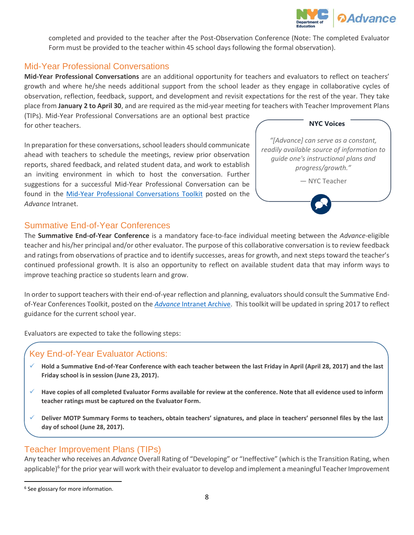

completed and provided to the teacher after the Post-Observation Conference (Note: The completed Evaluator Form must be provided to the teacher within 45 school days following the formal observation).

#### Mid-Year Professional Conversations

**Mid-Year Professional Conversations** are an additional opportunity for teachers and evaluators to reflect on teachers' growth and where he/she needs additional support from the school leader as they engage in collaborative cycles of observation, reflection, feedback, support, and development and revisit expectations for the rest of the year. They take place from **January 2 to April 30**, and are required as the mid-year meeting for teachers with Teacher Improvement Plans

(TIPs). Mid-Year Professional Conversations are an optional best practice for other teachers.

In preparation for these conversations, school leaders should communicate ahead with teachers to schedule the meetings, review prior observation reports, shared feedback, and related student data, and work to establish an inviting environment in which to host the conversation. Further suggestions for a successful Mid-Year Professional Conversation can be found in the [Mid-Year Professional Conversations Toolkit](http://intranet.nycboe.net/NR/rdonlyres/08A8E6E0-E53E-4B17-82C2-1EE556D76C6B/0/201617MidYearProfessionalConversationsToolkit.pdf) posted on the *Advance* Intranet.

| <b>NYC Voices</b>                                                                                                                             |  |
|-----------------------------------------------------------------------------------------------------------------------------------------------|--|
| "[Advance] can serve as a constant,<br>readily available source of information to<br>guide one's instructional plans and<br>progress/growth." |  |
| - NYC Teacher                                                                                                                                 |  |
|                                                                                                                                               |  |

#### Summative End-of-Year Conferences

The **Summative End-of-Year Conference** is a mandatory face-to-face individual meeting between the *Advance*-eligible teacher and his/her principal and/or other evaluator. The purpose of this collaborative conversation is to review feedback and ratings from observations of practice and to identify successes, areas for growth, and next steps toward the teacher's continued professional growth. It is also an opportunity to reflect on available student data that may inform ways to improve teaching practice so students learn and grow.

In order to support teachers with their end-of-year reflection and planning, evaluatorsshould consult the Summative Endof-Year Conferences Toolkit, posted on the *Advance* [Intranet Archive.](http://intranet.nycboe.net/HR/advance/Archive/Archived_Resources.htm) This toolkit will be updated in spring 2017 to reflect guidance for the current school year.

Evaluators are expected to take the following steps:

#### Key End-of-Year Evaluator Actions:

- **Hold a Summative End-of-Year Conference with each teacher between the last Friday in April (April 28, 2017) and the last Friday school is in session (June 23, 2017).**
- **Have copies of all completed Evaluator Forms available for review at the conference. Note that all evidence used to inform teacher ratings must be captured on the Evaluator Form.**
- **Deliver MOTP Summary Forms to teachers, obtain teachers' signatures, and place in teachers' personnel files by the last day of school (June 28, 2017).**

#### Teacher Improvement Plans (TIPs)

Any teacher who receives an *Advance* Overall Rating of "Developing" or "Ineffective" (which is the Transition Rating, when applicable)<sup>6</sup> for the prior year will work with their evaluator to develop and implement a meaningful Teacher Improvement

 $\overline{\phantom{a}}$ 

<sup>&</sup>lt;sup>6</sup> See glossary for more information.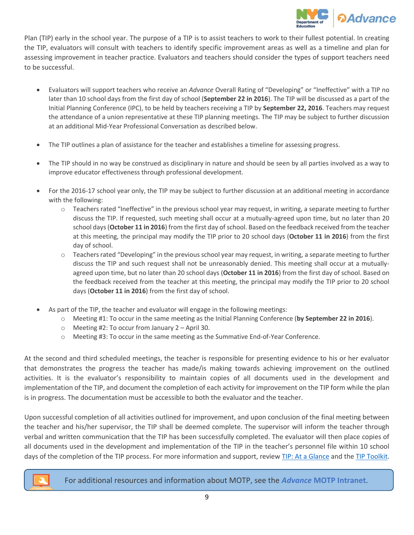

Plan (TIP) early in the school year. The purpose of a TIP is to assist teachers to work to their fullest potential. In creating the TIP, evaluators will consult with teachers to identify specific improvement areas as well as a timeline and plan for assessing improvement in teacher practice. Evaluators and teachers should consider the types of support teachers need to be successful.

- Evaluators will support teachers who receive an *Advance* Overall Rating of "Developing" or "Ineffective" with a TIP no later than 10 school days from the first day of school (**September 22 in 2016**). The TIP will be discussed as a part of the Initial Planning Conference (IPC), to be held by teachers receiving a TIP by **September 22, 2016**. Teachers may request the attendance of a union representative at these TIP planning meetings. The TIP may be subject to further discussion at an additional Mid-Year Professional Conversation as described below.
- The TIP outlines a plan of assistance for the teacher and establishes a timeline for assessing progress.
- The TIP should in no way be construed as disciplinary in nature and should be seen by all parties involved as a way to improve educator effectiveness through professional development.
- For the 2016-17 school year only, the TIP may be subject to further discussion at an additional meeting in accordance with the following:
	- $\circ$  Teachers rated "Ineffective" in the previous school year may request, in writing, a separate meeting to further discuss the TIP. If requested, such meeting shall occur at a mutually-agreed upon time, but no later than 20 school days (**October 11 in 2016**) from the first day of school. Based on the feedback received from the teacher at this meeting, the principal may modify the TIP prior to 20 school days (**October 11 in 2016**) from the first day of school.
	- $\circ$  Teachers rated "Developing" in the previous school year may request, in writing, a separate meeting to further discuss the TIP and such request shall not be unreasonably denied. This meeting shall occur at a mutuallyagreed upon time, but no later than 20 school days (**October 11 in 2016**) from the first day of school. Based on the feedback received from the teacher at this meeting, the principal may modify the TIP prior to 20 school days (**October 11 in 2016**) from the first day of school.
- As part of the TIP, the teacher and evaluator will engage in the following meetings:
	- o Meeting #1: To occur in the same meeting as the Initial Planning Conference (**by September 22 in 2016**).
	- o Meeting #2: To occur from January 2 April 30.
	- o Meeting #3: To occur in the same meeting as the Summative End-of-Year Conference.

At the second and third scheduled meetings, the teacher is responsible for presenting evidence to his or her evaluator that demonstrates the progress the teacher has made/is making towards achieving improvement on the outlined activities. It is the evaluator's responsibility to maintain copies of all documents used in the development and implementation of the TIP, and document the completion of each activity for improvement on the TIP form while the plan is in progress. The documentation must be accessible to both the evaluator and the teacher.

Upon successful completion of all activities outlined for improvement, and upon conclusion of the final meeting between the teacher and his/her supervisor, the TIP shall be deemed complete. The supervisor will inform the teacher through verbal and written communication that the TIP has been successfully completed. The evaluator will then place copies of all documents used in the development and implementation of the TIP in the teacher's personnel file within 10 school days of the completion of the TIP process. For more information and support, review [TIP: At a Glance](http://intranet.nycboe.net/NR/rdonlyres/E08A81B2-CD70-49A6-BEDF-A7E2B90771EC/0/201617TIPataGlance.pdf) and the [TIP Toolkit.](http://intranet.nycboe.net/NR/rdonlyres/B926F78B-638D-46D4-8ACF-29B43F21FBD6/0/201617TIPToolkit.pdf)



For additional resources and information about MOTP, see the *[Advance](https://intranet.nycboe.net/HR/advance/MOTP/MoTP_Tools.htm)* **MOTP Intranet**.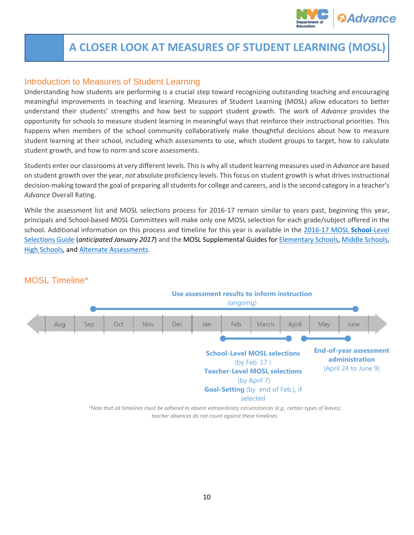

# <span id="page-11-0"></span>**A CLOSER LOOK AT MEASURES OF STUDENT LEARNING (MOSL)**

#### Introduction to Measures of Student Learning

Understanding how students are performing is a crucial step toward recognizing outstanding teaching and encouraging meaningful improvements in teaching and learning. Measures of Student Learning (MOSL) allow educators to better understand their students' strengths and how best to support student growth. The work of *Advance* provides the opportunity for schools to measure student learning in meaningful ways that reinforce their instructional priorities. This happens when members of the school community collaboratively make thoughtful decisions about how to measure student learning at their school, including which assessments to use, which student groups to target, how to calculate student growth, and how to norm and score assessments.

Students enter our classrooms at very different levels. This is why all student learning measures used in *Advance* are based on student growth over the year, *not* absolute proficiency levels. This focus on student growth is what drives instructional decision-making toward the goal of preparing all students for college and careers, and is the second category in a teacher's *Advance* Overall Rating.

While the assessment list and MOSL selections process for 2016-17 remain similar to years past, beginning this year, principals and School-based MOSL Committees will make only one MOSL selection for each grade/subject offered in the school. Additional information on this process and timeline for this year is available in the [2016-17 MOSL](http://intranet.nycboe.net/NR/rdonlyres/1F1AD4CF-4289-41EE-BA83-BED400079F06/0/201617MOSLSchoolLevelSelectionsGuide.pdf) **School**-Level [Selections Guide](http://intranet.nycboe.net/NR/rdonlyres/1F1AD4CF-4289-41EE-BA83-BED400079F06/0/201617MOSLSchoolLevelSelectionsGuide.pdf) (*anticipated January 2017*) and the MOSL Supplemental Guides fo[r Elementary Schools,](http://intranet.nycboe.net/NR/rdonlyres/2D5D776A-AD2D-4A6B-86C1-1FD2B81123D7/0/201617MOSLSupplementGuideforElementarySchools.pdf) [Middle Schools,](http://intranet.nycboe.net/NR/rdonlyres/2305C8B4-D2B7-4D66-ABBA-970971A8631B/0/201617MOSLSupplementGuideforMiddleSchools.pdf) [High Schools,](http://intranet.nycboe.net/NR/rdonlyres/3896332C-BE29-4B8C-8A16-CD61259F12E4/0/201617MOSLSupplementGuideforHighSchools.pdf) and [Alternate Assessments.](http://intranet.nycboe.net/NR/rdonlyres/5810F45C-F05E-4FA1-A1E2-247EE7B20893/0/201617MOSLSupplementGuideforAlternateAssessments.pdf)



#### MOSL Timeline\*

*\*Note that all timelines must be adhered to absent extraordinary circumstances (e.g., certain types of leaves); teacher absences do not count against these timelines.*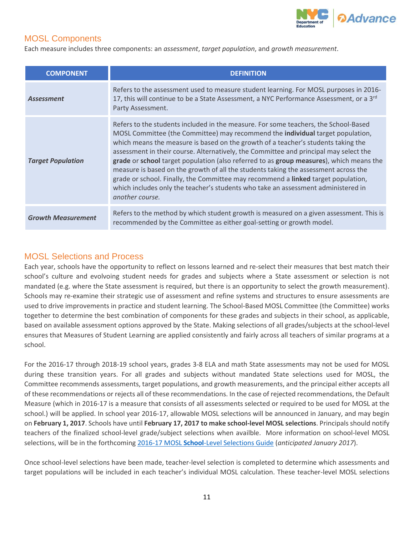

#### MOSL Components

Each measure includes three components: an *assessment*, *target population*, and *growth measurement*.

| <b>COMPONENT</b>          | <b>DEFINITION</b>                                                                                                                                                                                                                                                                                                                                                                                                                                                                                                                                                                                                                                                                                                                         |
|---------------------------|-------------------------------------------------------------------------------------------------------------------------------------------------------------------------------------------------------------------------------------------------------------------------------------------------------------------------------------------------------------------------------------------------------------------------------------------------------------------------------------------------------------------------------------------------------------------------------------------------------------------------------------------------------------------------------------------------------------------------------------------|
| Assessment                | Refers to the assessment used to measure student learning. For MOSL purposes in 2016-<br>17, this will continue to be a State Assessment, a NYC Performance Assessment, or a 3rd<br>Party Assessment.                                                                                                                                                                                                                                                                                                                                                                                                                                                                                                                                     |
| <b>Target Population</b>  | Refers to the students included in the measure. For some teachers, the School-Based<br>MOSL Committee (the Committee) may recommend the <b>individual</b> target population,<br>which means the measure is based on the growth of a teacher's students taking the<br>assessment in their course. Alternatively, the Committee and principal may select the<br>grade or school target population (also referred to as group measures), which means the<br>measure is based on the growth of all the students taking the assessment across the<br>grade or school. Finally, the Committee may recommend a linked target population,<br>which includes only the teacher's students who take an assessment administered in<br>another course. |
| <b>Growth Measurement</b> | Refers to the method by which student growth is measured on a given assessment. This is<br>recommended by the Committee as either goal-setting or growth model.                                                                                                                                                                                                                                                                                                                                                                                                                                                                                                                                                                           |

#### MOSL Selections and Process

Each year, schools have the opportunity to reflect on lessons learned and re-select their measures that best match their school's culture and evolvoing student needs for grades and subjects where a State assessment or selection is not mandated (e.g. where the State assessment is required, but there is an opportunity to select the growth measurement). Schools may re-examine their strategic use of assessment and refine systems and structures to ensure assessments are used to drive improvements in practice and student learning. The School-Based MOSL Committee (the Committee) works together to determine the best combination of components for these grades and subjects in their school, as applicable, based on available assessment options approved by the State. Making selections of all grades/subjects at the school-level ensures that Measures of Student Learning are applied consistently and fairly across all teachers of similar programs at a school.

For the 2016-17 through 2018-19 school years, grades 3-8 ELA and math State assessments may not be used for MOSL during these transition years. For all grades and subjects without mandated State selections used for MOSL, the Committee recommends assessments, target populations, and growth measurements, and the principal either accepts all of these recommendations or rejects all of these recommendations. In the case of rejected recommendations, the Default Measure (which in 2016-17 is a measure that consists of all assessments selected or required to be used for MOSL at the school.) will be applied. In school year 2016-17, allowable MOSL selections will be announced in January, and may begin on **February 1, 2017**. Schools have until **February 17, 2017 to make school-level MOSL selections**. Principals should notify teachers of the finalized school-level grade/subject selections when availble. More information on school-level MOSL selections, will be in the forthcoming 2016-17 MOSL **School**[-Level Selections Guide](http://intranet.nycboe.net/NR/rdonlyres/1F1AD4CF-4289-41EE-BA83-BED400079F06/0/201617MOSLSchoolLevelSelectionsGuide.pdf) (*anticipated January 2017*).

Once school-level selections have been made, teacher-level selection is completed to determine which assessments and target populations will be included in each teacher's individual MOSL calculation. These teacher-level MOSL selections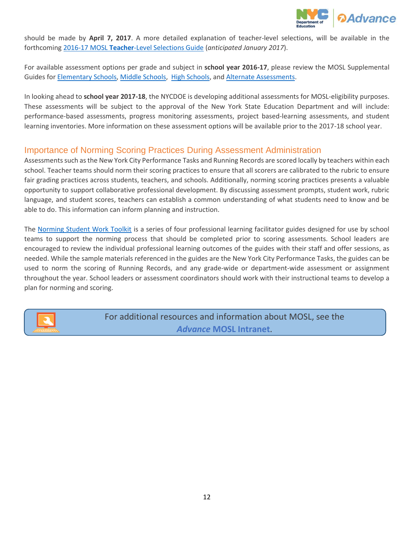

should be made by **April 7, 2017**. A more detailed explanation of teacher-level selections, will be available in the forthcoming 2016-17 MOSL **Teacher**[-Level Selections Guide](http://intranet.nycboe.net/NR/rdonlyres/ACB9A249-57E8-4D4B-A812-696BB2EFEEAD/0/201617MOSLTeacherLevelSelectionsGuide.pdf) (*anticipated January 2017*).

For available assessment options per grade and subject in **school year 2016-17**, please review the MOSL Supplemental Guides for [Elementary Schools,](http://intranet.nycboe.net/NR/rdonlyres/2D5D776A-AD2D-4A6B-86C1-1FD2B81123D7/0/201617MOSLSupplementGuideforElementarySchools.pdf) [Middle Schools,](http://intranet.nycboe.net/NR/rdonlyres/2305C8B4-D2B7-4D66-ABBA-970971A8631B/0/201617MOSLSupplementGuideforMiddleSchools.pdf) [High Schools,](http://intranet.nycboe.net/NR/rdonlyres/3896332C-BE29-4B8C-8A16-CD61259F12E4/0/201617MOSLSupplementGuideforHighSchools.pdf) an[d Alternate Assessments.](http://intranet.nycboe.net/NR/rdonlyres/5810F45C-F05E-4FA1-A1E2-247EE7B20893/0/201617MOSLSupplementGuideforAlternateAssessments.pdf)

In looking ahead to **school year 2017-18**, the NYCDOE is developing additional assessments for MOSL-eligibility purposes. These assessments will be subject to the approval of the New York State Education Department and will include: performance-based assessments, progress monitoring assessments, project based-learning assessments, and student learning inventories. More information on these assessment options will be available prior to the 2017-18 school year.

#### Importance of Norming Scoring Practices During Assessment Administration

Assessments such as the New York City Performance Tasks and Running Records are scored locally by teachers within each school. Teacher teams should norm their scoring practices to ensure that all scorers are calibrated to the rubric to ensure fair grading practices across students, teachers, and schools. Additionally, norming scoring practices presents a valuable opportunity to support collaborative professional development. By discussing assessment prompts, student work, rubric language, and student scores, teachers can establish a common understanding of what students need to know and be able to do. This information can inform planning and instruction.

The [Norming Student Work Toolkit](http://intranet.nycboe.net/NR/rdonlyres/2F850883-6111-4D1E-8DA2-4B50CD55AD89/0/NormingStudentWorkToolkit.zip) is a series of four professional learning facilitator guides designed for use by school teams to support the norming process that should be completed prior to scoring assessments. School leaders are encouraged to review the individual professional learning outcomes of the guides with their staff and offer sessions, as needed. While the sample materials referenced in the guides are the New York City Performance Tasks, the guides can be used to norm the scoring of Running Records, and any grade-wide or department-wide assessment or assignment throughout the year. School leaders or assessment coordinators should work with their instructional teams to develop a plan for norming and scoring.



For additional resources and information about MOSL, see the *Advance* **[MOSL Intranet](https://intranet.nycboe.net/HR/advance/MOSL/MOSL+Tools+2.htm)**.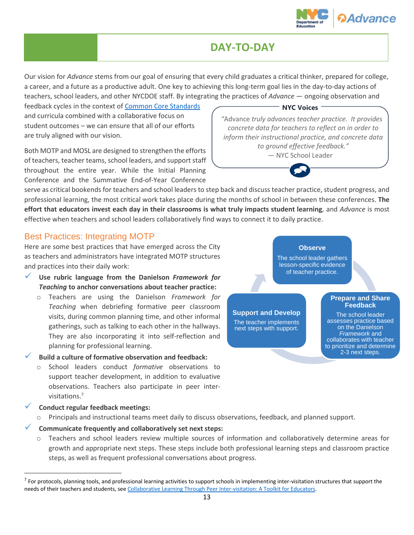

# **DAY-TO-DAY**

<span id="page-14-0"></span>Our vision for *Advance* stems from our goal of ensuring that every child graduates a critical thinker, prepared for college, a career, and a future as a productive adult. One key to achieving this long-term goal lies in the day-to-day actions of teachers, school leaders, and other NYCDOE staff. By integrating the practices of *Advance* — ongoing observation and

feedback cycles in the context o[f Common Core Standards](https://www.weteachnyc.org/resources/collection/common-core-learning-standards/) and curricula combined with a collaborative focus on student outcomes – we can ensure that all of our efforts are truly aligned with our vision.

Both MOTP and MOSL are designed to strengthen the efforts of teachers, teacher teams, school leaders, and support staff throughout the entire year. While the Initial Planning Conference and the Summative End-of-Year Conference

serve as critical bookends for teachers and school leaders to step back and discuss teacher practice, student progress, and professional learning, the most critical work takes place during the months of school in between these conferences. **The effort that educators invest each day in their classrooms is what truly impacts student learning***,* and *Advance* is most effective when teachers and school leaders collaboratively find ways to connect it to daily practice.

#### Best Practices: Integrating MOTP

Here are some best practices that have emerged across the City as teachers and administrators have integrated MOTP structures and practices into their daily work:

- **Use rubric language from the Danielson** *Framework for Teaching* **to anchor conversations about teacher practice:**
	- o Teachers are using the Danielson *Framework for Teaching* when debriefing formative peer classroom visits, during common planning time, and other informal gatherings, such as talking to each other in the hallways. They are also incorporating it into self-reflection and planning for professional learning.
- **Build a culture of formative observation and feedback:** 
	- o School leaders conduct *formative* observations to support teacher development, in addition to evaluative observations. Teachers also participate in peer intervisitations. 7
- **Conduct regular feedback meetings:**

 $\overline{\phantom{a}}$ 

- Principals and instructional teams meet daily to discuss observations, feedback, and planned support.
- **Communicate frequently and collaboratively set next steps:** 
	- o Teachers and school leaders review multiple sources of information and collaboratively determine areas for growth and appropriate next steps. These steps include both professional learning steps and classroom practice steps, as well as frequent professional conversations about progress.



*"*Advance *truly advances teacher practice. It provides concrete data for teachers to reflect on in order to inform their instructional practice, and concrete data to ground effective feedback."*

— NYC School Leader

The school leader gathers lesson-specific evidence

**Observe**

of teacher practice.

**Support and Develop** The teacher implements next steps with support.

#### **Prepare and Share Feedback**

The school leader assesses practice based on the Danielson *Framework* and collaborates with teacher to prioritize and determine 2-3 next steps.

 $^7$  For protocols, planning tools, and professional learning activities to support schools in implementing inter-visitation structures that support the needs of their teachers and students, see [Collaborative Learning Through Peer Inter-visitation: A Toolkit for Educators.](https://www.weteachnyc.org/resources/resource/collaborative-learning-through-peer-inter-visitations-toolkit-educators/)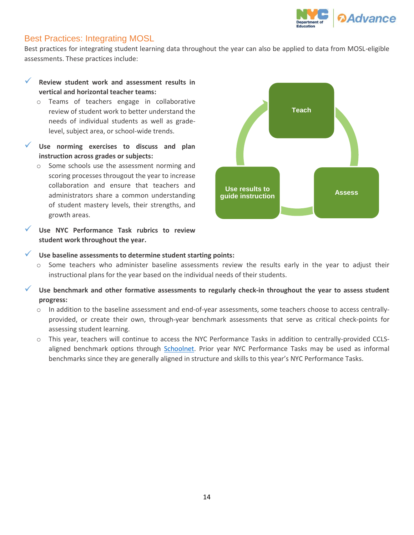

#### Best Practices: Integrating MOSL

Best practices for integrating student learning data throughout the year can also be applied to data from MOSL-eligible assessments. These practices include:

- **Review student work and assessment results in vertical and horizontal teacher teams:**
	- o Teams of teachers engage in collaborative review of student work to better understand the needs of individual students as well as gradelevel, subject area, or school-wide trends.
- **Use norming exercises to discuss and plan instruction across grades or subjects:**
	- o Some schools use the assessment norming and scoring processes througout the year to increase collaboration and ensure that teachers and administrators share a common understanding of student mastery levels, their strengths, and growth areas.
- **Use NYC Performance Task rubrics to review student work throughout the year.**



#### **Use baseline assessments to determine student starting points:**

- o Some teachers who administer baseline assessments review the results early in the year to adjust their instructional plans for the year based on the individual needs of their students.
- **Use benchmark and other formative assessments to regularly check-in throughout the year to assess student progress:**
	- o In addition to the baseline assessment and end-of-year assessments, some teachers choose to access centrallyprovided, or create their own, through-year benchmark assessments that serve as critical check-points for assessing student learning.
	- o This year, teachers will continue to access the NYC Performance Tasks in addition to centrally-provided CCLSaligned benchmark options through [Schoolnet.](https://sso.nycenet.edu/) Prior year NYC Performance Tasks may be used as informal benchmarks since they are generally aligned in structure and skills to this year's NYC Performance Tasks.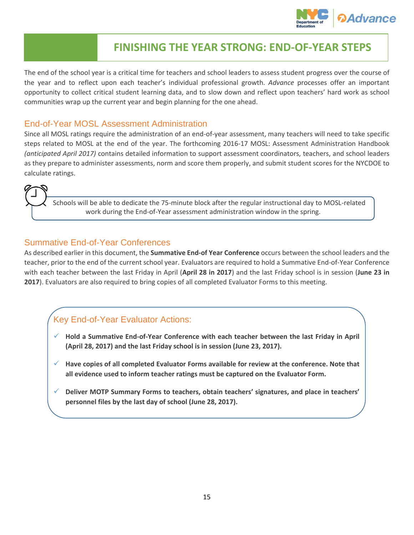

# <span id="page-16-0"></span>**FINISHING THE YEAR STRONG: END-OF-YEAR STEPS**

The end of the school year is a critical time for teachers and school leaders to assess student progress over the course of the year and to reflect upon each teacher's individual professional growth. *Advance* processes offer an important opportunity to collect critical student learning data, and to slow down and reflect upon teachers' hard work as school communities wrap up the current year and begin planning for the one ahead.

#### End-of-Year MOSL Assessment Administration

Since all MOSL ratings require the administration of an end-of-year assessment, many teachers will need to take specific steps related to MOSL at the end of the year. The forthcoming 2016-17 MOSL: Assessment Administration Handbook *(anticipated April 2017)* contains detailed information to support assessment coordinators, teachers, and school leaders as they prepare to administer assessments, norm and score them properly, and submit student scores for the NYCDOE to calculate ratings.

Schools will be able to dedicate the 75-minute block after the regular instructional day to MOSL-related work during the End-of-Year assessment administration window in the spring.

#### Summative End-of-Year Conferences

As described earlier in this document, the **Summative End-of Year Conference** occurs between the school leaders and the teacher, prior to the end of the current school year. Evaluators are required to hold a Summative End-of-Year Conference with each teacher between the last Friday in April (**April 28 in 2017**) and the last Friday school is in session (**June 23 in 2017**). Evaluators are also required to bring copies of all completed Evaluator Forms to this meeting.

#### Key End-of-Year Evaluator Actions:

- **Hold a Summative End-of-Year Conference with each teacher between the last Friday in April (April 28, 2017) and the last Friday school is in session (June 23, 2017).**
- **Have copies of all completed Evaluator Forms available for review at the conference. Note that all evidence used to inform teacher ratings must be captured on the Evaluator Form.**
- **Deliver MOTP Summary Forms to teachers, obtain teachers' signatures, and place in teachers' personnel files by the last day of school (June 28, 2017).**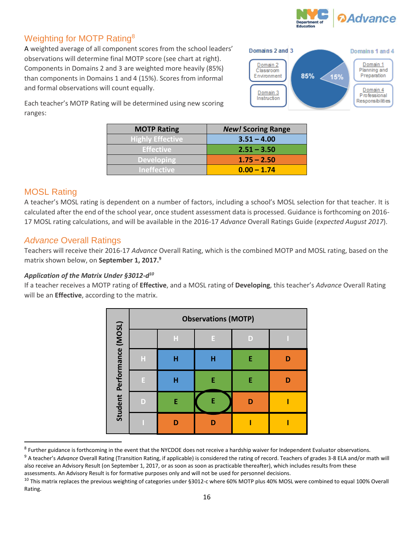

#### Weighting for MOTP Rating<sup>8</sup>

A weighted average of all component scores from the school leaders' observations will determine final MOTP score (see chart at right). Components in Domains 2 and 3 are weighted more heavily (85%) than components in Domains 1 and 4 (15%). Scores from informal and formal observations will count equally.



Each teacher's MOTP Rating will be determined using new scoring ranges:

| <b>MOTP Rating</b>      | <b>New! Scoring Range</b> |
|-------------------------|---------------------------|
| <b>Highly Effective</b> | $3.51 - 4.00$             |
| <b>Effective</b>        | $2.51 - 3.50$             |
| <b>Developing</b>       | $1.75 - 2.50$             |
| <b>Ineffective</b>      | $0.00 - 1.74$             |

#### MOSL Rating

 $\overline{a}$ 

A teacher's MOSL rating is dependent on a number of factors, including a school's MOSL selection for that teacher. It is calculated after the end of the school year, once student assessment data is processed. Guidance is forthcoming on 2016- 17 MOSL rating calculations, and will be available in the 2016-17 *Advance* Overall Ratings Guide (*expected August 2017*).

#### *Advance* Overall Ratings

Teachers will receive their 2016-17 *Advance* Overall Rating, which is the combined MOTP and MOSL rating, based on the matrix shown below, on **September 1, 2017. 9**

#### *Application of the Matrix Under §3012-d 10*

If a teacher receives a MOTP rating of **Effective**, and a MOSL rating of **Developing**, this teacher's *Advance* Overall Rating will be an **Effective**, according to the matrix.

|                            | <b>Observations (MOTP)</b> |   |    |   |  |
|----------------------------|----------------------------|---|----|---|--|
| Student Performance (MOSL) |                            | Н | E  | D |  |
|                            | Н                          | н | н  | E |  |
|                            | E                          | н | E  | E |  |
|                            | D                          | E | E. |   |  |
|                            |                            | n |    |   |  |

<sup>&</sup>lt;sup>8</sup> Further guidance is forthcoming in the event that the NYCDOE does not receive a hardship waiver for Independent Evaluator observations.

<sup>9</sup> A teacher's *Advance* Overall Rating (Transition Rating, if applicable) is considered the rating of record. Teachers of grades 3-8 ELA and/or math will also receive an Advisory Result (on September 1, 2017, or as soon as soon as practicable thereafter), which includes results from these assessments. An Advisory Result is for formative purposes only and will not be used for personnel decisions.

<sup>&</sup>lt;sup>10</sup> This matrix replaces the previous weighting of categories under §3012-c where 60% MOTP plus 40% MOSL were combined to equal 100% Overall Rating.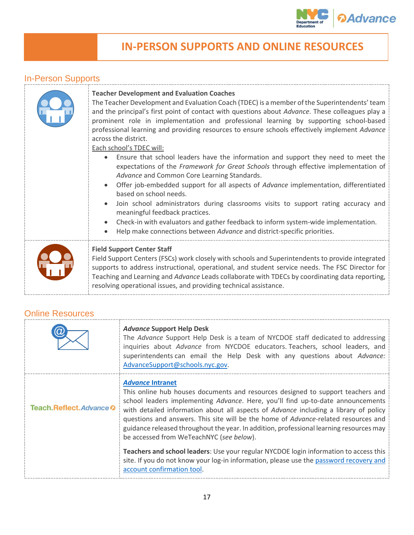

# <span id="page-18-0"></span>**IN-PERSON SUPPORTS AND ONLINE RESOURCES**

### In-Person Supports

#### **Teacher Development and Evaluation Coaches**

The Teacher Development and Evaluation Coach (TDEC) is a member of the Superintendents' team and the principal's first point of contact with questions about *Advance*. These colleagues play a prominent role in implementation and professional learning by supporting school-based professional learning and providing resources to ensure schools effectively implement *Advance* across the district.

Each school's TDEC will:

- Ensure that school leaders have the information and support they need to meet the expectations of the *Framework for Great Schools* through effective implementation of *Advance* and Common Core Learning Standards.
- Offer job-embedded support for all aspects of *Advance* implementation, differentiated based on school needs.
- Join school administrators during classrooms visits to support rating accuracy and meaningful feedback practices.
- Check-in with evaluators and gather feedback to inform system-wide implementation.
- Help make connections between *Advance* and district-specific priorities.
- 



#### **Field Support Center Staff**

Field Support Centers (FSCs) work closely with schools and Superintendents to provide integrated supports to address instructional, operational, and student service needs. The FSC Director for Teaching and Learning and *Advance* Leads collaborate with TDECs by coordinating data reporting, resolving operational issues, and providing technical assistance.

#### Online Resources

|                       | <b>Advance Support Help Desk</b><br>The Advance Support Help Desk is a team of NYCDOE staff dedicated to addressing<br>inquiries about Advance from NYCDOE educators. Teachers, school leaders, and<br>superintendents can email the Help Desk with any questions about Advance:<br>AdvanceSupport@schools.nyc.gov.                                                                                                                                                                                                |  |
|-----------------------|--------------------------------------------------------------------------------------------------------------------------------------------------------------------------------------------------------------------------------------------------------------------------------------------------------------------------------------------------------------------------------------------------------------------------------------------------------------------------------------------------------------------|--|
| Teach.Reflect.Advance | <b>Advance Intranet</b><br>This online hub houses documents and resources designed to support teachers and<br>school leaders implementing Advance. Here, you'll find up-to-date announcements<br>with detailed information about all aspects of Advance including a library of policy<br>questions and answers. This site will be the home of Advance-related resources and<br>guidance released throughout the year. In addition, professional learning resources may<br>be accessed from WeTeachNYC (see below). |  |
|                       | Teachers and school leaders: Use your regular NYCDOE login information to access this<br>site. If you do not know your log-in information, please use the password recovery and<br>account confirmation tool.                                                                                                                                                                                                                                                                                                      |  |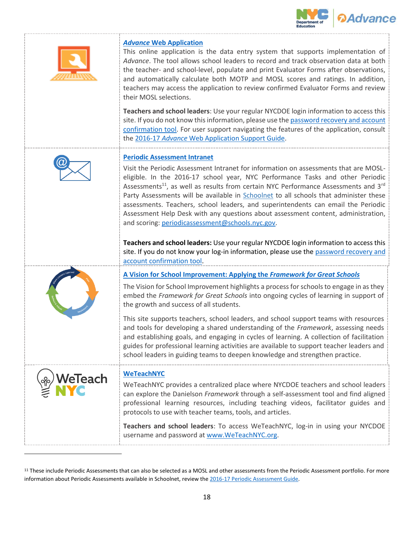



#### *Advance* **[Web Application](https://www.nycenet.edu/advance/Login)**

This online application is the data entry system that supports implementation of *Advance*. The tool allows school leaders to record and track observation data at both the teacher- and school-level, populate and print Evaluator Forms after observations, and automatically calculate both MOTP and MOSL scores and ratings. In addition, teachers may access the application to review confirmed Evaluator Forms and review their MOSL selections.

**Teachers and school leaders**: Use your regular NYCDOE login information to access this site. If you do not know this information, please use th[e password recovery and account](https://idm.nycenet.edu/selfservice/Login.do)  [confirmation tool.](https://idm.nycenet.edu/selfservice/Login.do) For user support navigating the features of the application, consult the 2016-17 *Advance* [Web Application Support Guide.](http://intranet.nycboe.net/NR/rdonlyres/123E94DC-8F0B-4EC7-B429-F24562CB2D65/0/201617AdvanceWebAppSupportGuide.pdf)



#### **[Periodic Assessment Intranet](https://portal.nycenet.edu/Accountability/Assessments/PeriodicAssessments/default)**

Visit the Periodic Assessment Intranet for information on assessments that are MOSLeligible. In the 2016-17 school year, NYC Performance Tasks and other Periodic Assessments<sup>11</sup>, as well as results from certain NYC Performance Assessments and  $3<sup>rd</sup>$ Party Assessments will be available in [Schoolnet](https://nyc.schoolnet.com/) to all schools that administer these assessments. Teachers, school leaders, and superintendents can email the Periodic Assessment Help Desk with any questions about assessment content, administration, and scoring: [periodicassessment@schools.nyc.gov.](mailto:periodicassessment@schools.nyc.gov)

**Teachers and school leaders:** Use your regular NYCDOE login information to access this site. If you do not know your log-in information, please use the password recovery and [account confirmation tool.](https://idm.nycenet.edu/selfservice/Login.do)



**[A Vision for School Improvement: Applying the](http://schools.nyc.gov/NR/rdonlyres/EC5F192E-44AB-429B-8DB1-E3527BD2E3A1/0/AVisionforSchoolImprovement_ApplyingtheFrameworkforGreatSchools.pdf)** *Framework for Great Schools*

The Vision for School Improvement highlights a process for schools to engage in as they embed the *Framework for Great Schools* into ongoing cycles of learning in support of the growth and success of all students.

This site supports teachers, school leaders, and school support teams with resources and tools for developing a shared understanding of the *Framework*, assessing needs and establishing goals, and engaging in cycles of learning. A collection of facilitation guides for professional learning activities are available to support teacher leaders and school leaders in guiding teams to deepen knowledge and strengthen practice.



 $\overline{\phantom{a}}$ 

#### **[WeTeachNYC](https://www.weteachnyc.org/)**

WeTeachNYC provides a centralized place where NYCDOE teachers and school leaders can explore the Danielson *Framework* through a self-assessment tool and find aligned professional learning resources, including teaching videos, facilitator guides and protocols to use with teacher teams, tools, and articles.

**Teachers and school leaders**: To access WeTeachNYC, log-in in using your NYCDOE username and password at [www.WeTeachNYC.org.](https://www.weteachnyc.org/)

<sup>&</sup>lt;sup>11</sup> These include Periodic Assessments that can also be selected as a MOSL and other assessments from the Periodic Assessment portfolio. For more information about Periodic Assessments available in Schoolnet, review the 2016-17 [Periodic Assessment Guide.](http://intranet.nycboe.net/NR/rdonlyres/93A2C3B7-B7AF-40D7-A700-5B4503A4DF97/0/SY1617PeriodicAssessmentSelectionsGuide.pdf)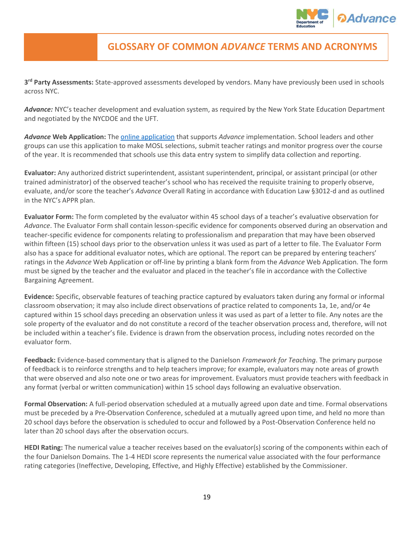

## <span id="page-20-0"></span>**GLOSSARY OF COMMON** *ADVANCE* **TERMS AND ACRONYMS**

**3 rd Party Assessments:** State-approved assessments developed by vendors. Many have previously been used in schools across NYC.

*Advance:* NYC's teacher development and evaluation system, as required by the New York State Education Department and negotiated by the NYCDOE and the UFT.

*Advance* **Web Application:** Th[e online application](https://www.nycenet.edu/advance/Login) that supports *Advance* implementation. School leaders and other groups can use this application to make MOSL selections, submit teacher ratings and monitor progress over the course of the year. It is recommended that schools use this data entry system to simplify data collection and reporting.

**Evaluator:** Any authorized district superintendent, assistant superintendent, principal, or assistant principal (or other trained administrator) of the observed teacher's school who has received the requisite training to properly observe, evaluate, and/or score the teacher's *Advance* Overall Rating in accordance with Education Law §3012-d and as outlined in the NYC's APPR plan.

**Evaluator Form:** The form completed by the evaluator within 45 school days of a teacher's evaluative observation for *Advance*. The Evaluator Form shall contain lesson-specific evidence for components observed during an observation and teacher-specific evidence for components relating to professionalism and preparation that may have been observed within fifteen (15) school days prior to the observation unless it was used as part of a letter to file. The Evaluator Form also has a space for additional evaluator notes, which are optional. The report can be prepared by entering teachers' ratings in the *Advance* Web Application or off-line by printing a blank form from the *Advance* Web Application. The form must be signed by the teacher and the evaluator and placed in the teacher's file in accordance with the Collective Bargaining Agreement.

**Evidence:** Specific, observable features of teaching practice captured by evaluators taken during any formal or informal classroom observation; it may also include direct observations of practice related to components 1a, 1e, and/or 4e captured within 15 school days preceding an observation unless it was used as part of a letter to file. Any notes are the sole property of the evaluator and do not constitute a record of the teacher observation process and, therefore, will not be included within a teacher's file. Evidence is drawn from the observation process, including notes recorded on the evaluator form.

**Feedback:** Evidence-based commentary that is aligned to the Danielson *Framework for Teaching*. The primary purpose of feedback is to reinforce strengths and to help teachers improve; for example, evaluators may note areas of growth that were observed and also note one or two areas for improvement. Evaluators must provide teachers with feedback in any format (verbal or written communication) within 15 school days following an evaluative observation.

**Formal Observation:** A full-period observation scheduled at a mutually agreed upon date and time. Formal observations must be preceded by a Pre-Observation Conference, scheduled at a mutually agreed upon time, and held no more than 20 school days before the observation is scheduled to occur and followed by a Post-Observation Conference held no later than 20 school days after the observation occurs.

**HEDI Rating:** The numerical value a teacher receives based on the evaluator(s) scoring of the components within each of the four Danielson Domains. The 1-4 HEDI score represents the numerical value associated with the four performance rating categories (Ineffective, Developing, Effective, and Highly Effective) established by the Commissioner.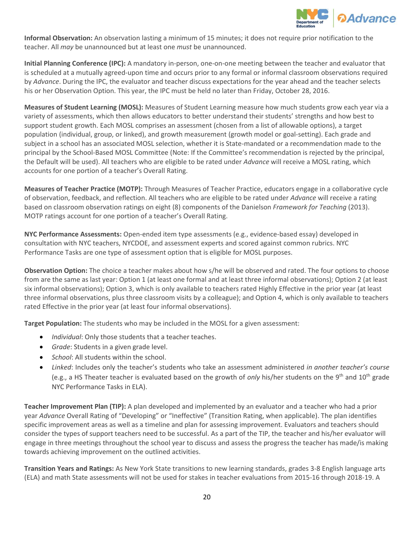

**Informal Observation:** An observation lasting a minimum of 15 minutes; it does not require prior notification to the teacher. All *may* be unannounced but at least one *must* be unannounced.

**Initial Planning Conference (IPC):** A mandatory in-person, one-on-one meeting between the teacher and evaluator that is scheduled at a mutually agreed-upon time and occurs prior to any formal or informal classroom observations required by *Advance*. During the IPC, the evaluator and teacher discuss expectations for the year ahead and the teacher selects his or her Observation Option. This year, the IPC must be held no later than Friday, October 28, 2016.

**Measures of Student Learning (MOSL):** Measures of Student Learning measure how much students grow each year via a variety of assessments, which then allows educators to better understand their students' strengths and how best to support student growth. Each MOSL comprises an assessment (chosen from a list of allowable options), a target population (individual, group, or linked), and growth measurement (growth model or goal-setting). Each grade and subject in a school has an associated MOSL selection, whether it is State-mandated or a recommendation made to the principal by the School-Based MOSL Committee (Note: If the Committee's recommendation is rejected by the principal, the Default will be used). All teachers who are eligible to be rated under *Advance* will receive a MOSL rating, which accounts for one portion of a teacher's Overall Rating.

**Measures of Teacher Practice (MOTP):** Through Measures of Teacher Practice, educators engage in a collaborative cycle of observation, feedback, and reflection. All teachers who are eligible to be rated under *Advance* will receive a rating based on classroom observation ratings on eight (8) components of the Danielson *Framework for Teaching* (2013). MOTP ratings account for one portion of a teacher's Overall Rating.

**NYC Performance Assessments:** Open-ended item type assessments (e.g., evidence-based essay) developed in consultation with NYC teachers, NYCDOE, and assessment experts and scored against common rubrics. NYC Performance Tasks are one type of assessment option that is eligible for MOSL purposes.

**Observation Option:** The choice a teacher makes about how s/he will be observed and rated. The four options to choose from are the same as last year: Option 1 (at least one formal and at least three informal observations); Option 2 (at least six informal observations); Option 3, which is only available to teachers rated Highly Effective in the prior year (at least three informal observations, plus three classroom visits by a colleague); and Option 4, which is only available to teachers rated Effective in the prior year (at least four informal observations).

**Target Population:** The students who may be included in the MOSL for a given assessment:

- *Individual*: Only those students that a teacher teaches.
- *Grade*: Students in a given grade level.
- *School*: All students within the school.
- *Linked*: Includes only the teacher's students who take an assessment administered *in another teacher's course* (e.g., a HS Theater teacher is evaluated based on the growth of *only* his/her students on the 9th and 10th grade NYC Performance Tasks in ELA).

**Teacher Improvement Plan (TIP):** A plan developed and implemented by an evaluator and a teacher who had a prior year *Advance* Overall Rating of "Developing" or "Ineffective" (Transition Rating, when applicable). The plan identifies specific improvement areas as well as a timeline and plan for assessing improvement. Evaluators and teachers should consider the types of support teachers need to be successful. As a part of the TIP, the teacher and his/her evaluator will engage in three meetings throughout the school year to discuss and assess the progress the teacher has made/is making towards achieving improvement on the outlined activities.

**Transition Years and Ratings:** As New York State transitions to new learning standards, grades 3-8 English language arts (ELA) and math State assessments will not be used for stakes in teacher evaluations from 2015-16 through 2018-19. A